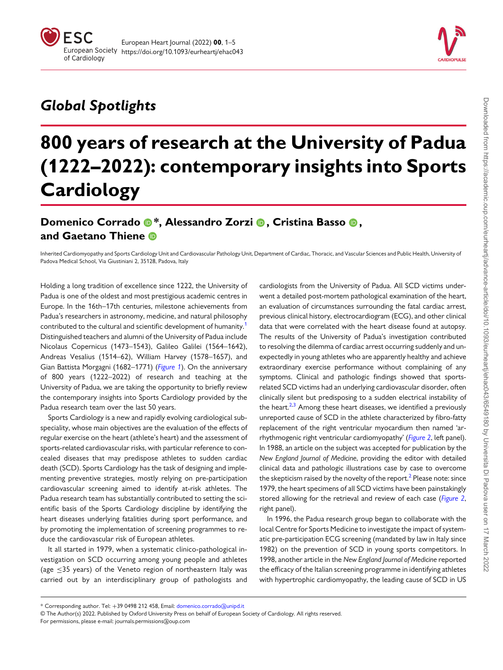

## Global Spotlights

# 800 years of research at the University of Padua (1222–2022): contemporary insights into Sports **Cardiology**

## Domenico Corrado  $\mathbf{D}^*$ , Alessandro Zorzi  $\mathbf{D}$ , Cristina Basso  $\mathbf{D}$ , and Gaetano Thiene

Inherited Cardiomyopathy and Sports Cardiology Unit and Cardiovascular Pathology Unit, Department of Cardiac, Thoracic, and Vascular Sciences and Public Health, University of Padova Medical School, Via Giustiniani 2, 35128, Padova, Italy

<span id="page-0-0"></span>Holding a long tradition of excellence since 1222, the University of Padua is one of the oldest and most prestigious academic centres in Europe. In the 16th–17th centuries, milestone achievements from Padua's researchers in astronomy, medicine, and natural philosophy contributed to the cultural and scientific development of humanity.<sup>1</sup> Distinguished teachers and alumni of the University of Padua include Nicolaus Copernicus (1473–1543), Galileo Galilei (1564–1642), Andreas Vesalius (1514–62), William Harvey (1578–1657), and Gian Battista Morgagni (1682–1771) ([Figure 1](#page-1-0)). On the anniversary of 800 years (1222–2022) of research and teaching at the University of Padua, we are taking the opportunity to briefly review the contemporary insights into Sports Cardiology provided by the Padua research team over the last 50 years.

Sports Cardiology is a new and rapidly evolving cardiological subspeciality, whose main objectives are the evaluation of the effects of regular exercise on the heart (athlete's heart) and the assessment of sports-related cardiovascular risks, with particular reference to concealed diseases that may predispose athletes to sudden cardiac death (SCD). Sports Cardiology has the task of designing and implementing preventive strategies, mostly relying on pre-participation cardiovascular screening aimed to identify at-risk athletes. The Padua research team has substantially contributed to setting the scientific basis of the Sports Cardiology discipline by identifying the heart diseases underlying fatalities during sport performance, and by promoting the implementation of screening programmes to reduce the cardiovascular risk of European athletes.

It all started in 1979, when a systematic clinico-pathological investigation on SCD occurring among young people and athletes (age ≤35 years) of the Veneto region of northeastern Italy was carried out by an interdisciplinary group of pathologists and

<span id="page-0-2"></span>cardiologists from the University of Padua. All SCD victims underwent a detailed post-mortem pathological examination of the heart, an evaluation of circumstances surrounding the fatal cardiac arrest, previous clinical history, electrocardiogram (ECG), and other clinical data that were correlated with the heart disease found at autopsy. The results of the University of Padua's investigation contributed to resolving the dilemma of cardiac arrest occurring suddenly and unexpectedly in young athletes who are apparently healthy and achieve extraordinary exercise performance without complaining of any symptoms. Clinical and pathologic findings showed that sportsrelated SCD victims had an underlying cardiovascular disorder, often clinically silent but predisposing to a sudden electrical instability of the heart. $2,3$  Among these heart diseases, we identified a previously unreported cause of SCD in the athlete characterized by fibro-fatty replacement of the right ventricular myocardium then named 'ar-rhythmogenic right ventricular cardiomyopathy' ([Figure 2](#page-2-0), left panel). In 1988, an article on the subject was accepted for publication by the New England Journal of Medicine, providing the editor with detailed clinical data and pathologic illustrations case by case to overcome the skepticism raised by the novelty of the report.<sup>2</sup> Please note: since 1979, the heart specimens of all SCD victims have been painstakingly stored allowing for the retrieval and review of each case ([Figure 2](#page-2-0), right panel).

<span id="page-0-3"></span><span id="page-0-1"></span>In 1996, the Padua research group began to collaborate with the local Centre for Sports Medicine to investigate the impact of systematic pre-participation ECG screening (mandated by law in Italy since 1982) on the prevention of SCD in young sports competitors. In 1998, another article in the New England Journal of Medicine reported the efficacy of the Italian screening programme in identifying athletes with hypertrophic cardiomyopathy, the leading cause of SCD in US

\* Corresponding author. Tel: +39 0498 212 458, Email: [domenico.corrado@unipd.it](mailto:domenico.corrado@unipd.it)

<sup>©</sup> The Author(s) 2022. Published by Oxford University Press on behalf of European Society of Cardiology. All rights reserved.

For permissions, please e-mail: journals.permissions@oup.com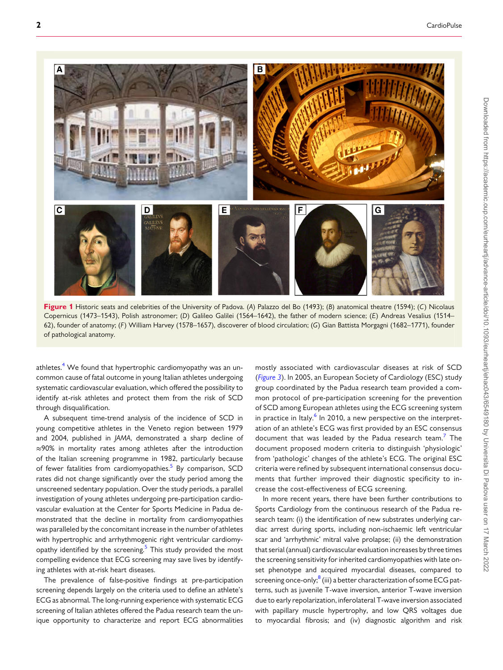<span id="page-1-0"></span>

Figure 1 Historic seats and celebrities of the University of Padova. (A) Palazzo del Bo (1493); (B) anatomical theatre (1594); (C) Nicolaus Copernicus (1473–1543), Polish astronomer; (D) Galileo Galilei (1564–1642), the father of modern science; (E) Andreas Vesalius (1514– 62), founder of anatomy; (F) William Harvey (1578–1657), discoverer of blood circulation; (G) Gian Battista Morgagni (1682–1771), founder of pathological anatomy.

athletes.<sup>[4](#page-4-0)</sup> We found that hypertrophic cardiomyopathy was an uncommon cause of fatal outcome in young Italian athletes undergoing systematic cardiovascular evaluation, which offered the possibility to identify at-risk athletes and protect them from the risk of SCD through disqualification.

A subsequent time-trend analysis of the incidence of SCD in young competitive athletes in the Veneto region between 1979 and 2004, published in JAMA, demonstrated a sharp decline of ≈90% in mortality rates among athletes after the introduction of the Italian screening programme in 1982, particularly because of fewer fatalities from cardiomyopathies.<sup>[5](#page-4-0)</sup> By comparison, SCD rates did not change significantly over the study period among the unscreened sedentary population. Over the study periods, a parallel investigation of young athletes undergoing pre-participation cardiovascular evaluation at the Center for Sports Medicine in Padua demonstrated that the decline in mortality from cardiomyopathies was paralleled by the concomitant increase in the number of athletes with hypertrophic and arrhythmogenic right ventricular cardiomy-opathy identified by the screening.<sup>[5](#page-4-0)</sup> This study provided the most compelling evidence that ECG screening may save lives by identifying athletes with at-risk heart diseases.

<span id="page-1-1"></span>The prevalence of false-positive findings at pre-participation screening depends largely on the criteria used to define an athlete's ECG as abnormal. The long-running experience with systematic ECG screening of Italian athletes offered the Padua research team the unique opportunity to characterize and report ECG abnormalities

<span id="page-1-3"></span><span id="page-1-2"></span>mostly associated with cardiovascular diseases at risk of SCD ([Figure 3](#page-3-0)). In 2005, an European Society of Cardiology (ESC) study group coordinated by the Padua research team provided a common protocol of pre-participation screening for the prevention of SCD among European athletes using the ECG screening system in practice in Italy. $6$  In 2010, a new perspective on the interpretation of an athlete's ECG was first provided by an ESC consensus document that was leaded by the Padua research team.<sup>[7](#page-4-0)</sup> The document proposed modern criteria to distinguish 'physiologic' from 'pathologic' changes of the athlete's ECG. The original ESC criteria were refined by subsequent international consensus documents that further improved their diagnostic specificity to increase the cost-effectiveness of ECG screening.

<span id="page-1-4"></span>In more recent years, there have been further contributions to Sports Cardiology from the continuous research of the Padua research team: (i) the identification of new substrates underlying cardiac arrest during sports, including non-ischaemic left ventricular scar and 'arrhythmic' mitral valve prolapse; (ii) the demonstration that serial (annual) cardiovascular evaluation increases by three times the screening sensitivity for inherited cardiomyopathies with late onset phenotype and acquired myocardial diseases, compared to screening once-only;<sup>[8](#page-4-0)</sup> (iii) a better characterization of some ECG patterns, such as juvenile T-wave inversion, anterior T-wave inversion due to early repolarization, inferolateral T-wave inversion associated with papillary muscle hypertrophy, and low QRS voltages due to myocardial fibrosis; and (iv) diagnostic algorithm and risk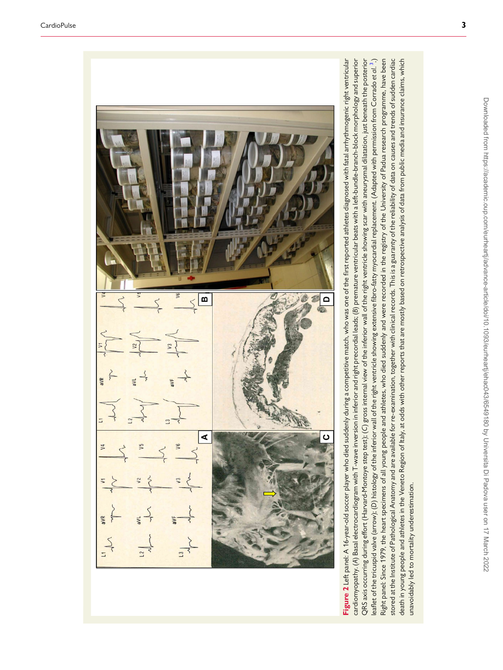<span id="page-2-0"></span>

cardiomyopathy. (A) Basal electrocardiogram with T-wave inversion in inferior and right precordial leads; (B) premature ventricular beats with a left-bundle-branch-block morphology and superior QRS axis occurring during effort (Harvard-Montoye step test); (C) gross internal view of the inferior wall of the right ventricle showing scar with aneurysmal dilatation, just beneath the posterior eaflet of the tricuspid valve (arrow); (D) histology of the inferior wall of the right ventricle showing extensive fibro-fatty myocardial replacement. (Adapted with permission from Corrado et al. <sup>3</sup>.) Right panel: Since 1979, the heart specimens of all young people and athletes, who died suddenly and were recorded in the registry of the University of Padua research programme, have been stored at the Institute of Pathological Anatomy and are available for re-examination, together with clinical records. This is a guaranty of the reliability of data on causes and trends of sudden cardiac death in young people and athletes in the Veneto Region of Italy, at odds with other reports that are mostly based on retrospective analysis of data from public media and insurance claims, which Figure 2 Left panel: A 16-year-old soccer player who died suddenly during a competitive match, who was one of the first reported athletes diagnosed with fatal arrhythmogenic right ventricular cardiomyopathy. (A) Basal electrocardiogram with T-wave inversion in inferior and right precordial leads; (B) premature ventricular beats with a left-bundle-branch-block morphology and superior QRS axis occurring during effort (Harvard-Montoye step test); (C) gross internal view of the inferior wall of the right ventricle showing scar with aneurysmal dilatation, just beneath the posterior leaflet of the tricuspid valve (arrow); (D) histology of the inferior wall of the right ventricle showing extensive fibro-fatty myocardial replacement. (Adapted with permission from Corrado et  $a!\cdot$  [3](#page-4-0).) Right panel: Since 1979, the heart specimens of all young people and athletes, who died suddenly and were recorded in the registry of the University of Padua research programme, have been stored at the Institute of Pathological Anatomy and are available for re-examination, together with clinical records. This is a guaranty of the reliability of data on causes and trends of sudden cardiac death in young people and athletes in the Veneto Region of Italy, at odds with other reports that are mostly based on retrospective analysis of data from public media and insurance claims, which unavoidably led to mortality underestimation. unavoidably led to mortality underestimation.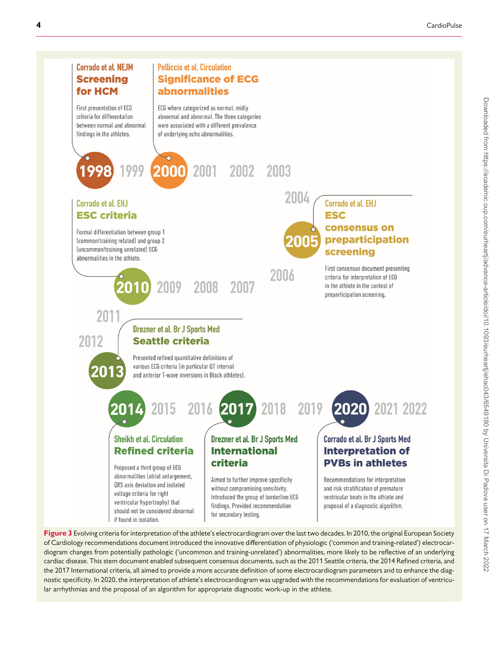<span id="page-3-0"></span>

Figure 3 Evolving criteria for interpretation of the athlete's electrocardiogram over the last two decades. In 2010, the original European Society of Cardiology recommendations document introduced the innovative differentiation of physiologic ('common and training-related') electrocardiogram changes from potentially pathologic ('uncommon and training-unrelated') abnormalities, more likely to be reflective of an underlying cardiac disease. This stem document enabled subsequent consensus documents, such as the 2011 Seattle criteria, the 2014 Refined criteria, and the 2017 International criteria, all aimed to provide a more accurate definition of some electrocardiogram parameters and to enhance the diagnostic specificity. In 2020, the interpretation of athlete's electrocardiogram was upgraded with the recommendations for evaluation of ventricular arrhythmias and the proposal of an algorithm for appropriate diagnostic work-up in the athlete.